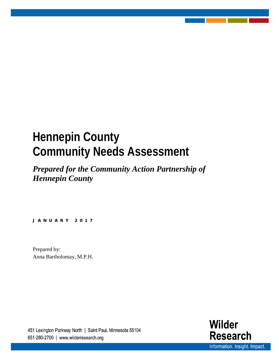## **Hennepin County Community Needs Assessment**

*Prepared for the Community Action Partnership of Hennepin County*

**JANUARY 2017** 

Prepared by: Anna Bartholomay, M.P.H.

451 Lexington Parkway North | Saint Paul, Minnesota 55104 651-280-2700 | www.wilderresearch.org

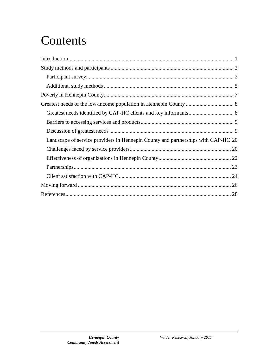## **Contents**

| Landscape of service providers in Hennepin County and partnerships with CAP-HC 20 |  |
|-----------------------------------------------------------------------------------|--|
|                                                                                   |  |
|                                                                                   |  |
|                                                                                   |  |
|                                                                                   |  |
|                                                                                   |  |
|                                                                                   |  |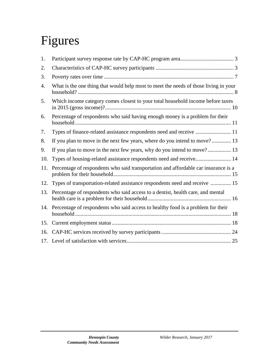# Figures

| 1.  |                                                                                      |
|-----|--------------------------------------------------------------------------------------|
| 2.  |                                                                                      |
| 3.  |                                                                                      |
| 4.  | What is the one thing that would help most to meet the needs of those living in your |
| 5.  | Which income category comes closest to your total household income before taxes      |
| 6.  | Percentage of respondents who said having enough money is a problem for their        |
| 7.  | Types of finance-related assistance respondents need and receive  11                 |
| 8.  | If you plan to move in the next few years, where do you intend to move? 13           |
| 9.  | If you plan to move in the next few years, why do you intend to move? 13             |
| 10. | Types of housing-related assistance respondents need and receive 14                  |
| 11. | Percentage of respondents who said transportation and affordable car insurance is a  |
| 12. | Types of transportation-related assistance respondents need and receive  15          |
| 13. | Percentage of respondents who said access to a dentist, health care, and mental      |
| 14. | Percentage of respondents who said access to healthy food is a problem for their     |
| 15. |                                                                                      |
| 16. |                                                                                      |
|     |                                                                                      |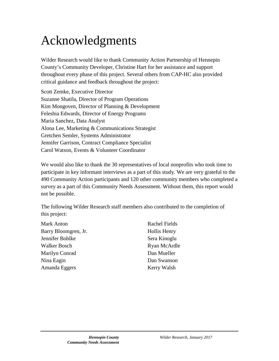## Acknowledgments

Wilder Research would like to thank Community Action Partnership of Hennepin County's Community Developer, Christine Hart for her assistance and support throughout every phase of this project. Several others from CAP-HC also provided critical guidance and feedback throughout the project:

Scott Zemke, Executive Director Suzanne Shatila, Director of Program Operations Kim Mongoven, Director of Planning & Development Feleshia Edwards, Director of Energy Programs Maria Sanchez, Data Analyst Alona Lee, Marketing & Communications Strategist Gretchen Semler, Systems Administrator Jennifer Garrison, Contract Compliance Specialist Carol Watson, Events & Volunteer Coordinator

We would also like to thank the 30 representatives of local nonprofits who took time to participate in key informant interviews as a part of this study. We are very grateful to the 490 Community Action participants and 120 other community members who completed a survey as a part of this Community Needs Assessment. Without them, this report would not be possible.

The following Wilder Research staff members also contributed to the completion of this project:

| Mark Anton           | Rachel Fields |
|----------------------|---------------|
| Barry Bloomgren, Jr. | Hollis Henry  |
| Jennifer Bohlke      | Sera Kinoglu  |
| Walker Bosch         | Ryan McArdle  |
| Marilyn Conrad       | Dan Mueller   |
| Nina Eagin           | Dan Swanson   |
| Amanda Eggers        | Kerry Walsh   |
|                      |               |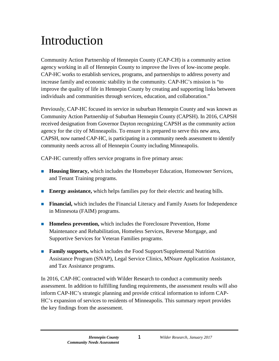## <span id="page-4-0"></span>Introduction

Community Action Partnership of Hennepin County (CAP-CH) is a community action agency working in all of Hennepin County to improve the lives of low-income people. CAP-HC works to establish services, programs, and partnerships to address poverty and increase family and economic stability in the community. CAP-HC's mission is "to improve the quality of life in Hennepin County by creating and supporting links between individuals and communities through services, education, and collaboration."

Previously, CAP-HC focused its service in suburban Hennepin County and was known as Community Action Partnership of Suburban Hennepin County (CAPSH). In 2016, CAPSH received designation from Governor Dayton recognizing CAPSH as the community action agency for the city of Minneapolis. To ensure it is prepared to serve this new area, CAPSH, now named CAP-HC, is participating in a community needs assessment to identify community needs across all of Hennepin County including Minneapolis.

CAP-HC currently offers service programs in five primary areas:

- **Housing literacy,** which includes the Homebuyer Education, Homeowner Services, and Tenant Training programs.
- **Energy assistance,** which helps families pay for their electric and heating bills.
- **Financial,** which includes the Financial Literacy and Family Assets for Independence in Minnesota (FAIM) programs.
- **Homeless prevention,** which includes the Foreclosure Prevention, Home Maintenance and Rehabilitation, Homeless Services, Reverse Mortgage, and Supportive Services for Veteran Families programs.
- **Family supports,** which includes the Food Support/Supplemental Nutrition Assistance Program (SNAP), Legal Service Clinics, MNsure Application Assistance, and Tax Assistance programs.

In 2016, CAP-HC contracted with Wilder Research to conduct a community needs assessment. In addition to fulfilling funding requirements, the assessment results will also inform CAP-HC's strategic planning and provide critical information to inform CAP-HC's expansion of services to residents of Minneapolis. This summary report provides the key findings from the assessment.

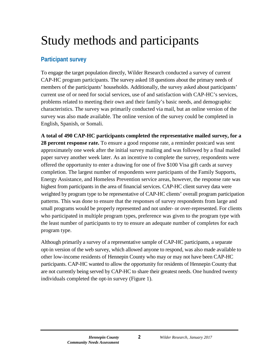## <span id="page-5-0"></span>Study methods and participants

## <span id="page-5-1"></span>**Participant survey**

To engage the target population directly, Wilder Research conducted a survey of current CAP-HC program participants. The survey asked 18 questions about the primary needs of members of the participants' households. Additionally, the survey asked about participants' current use of or need for social services, use of and satisfaction with CAP-HC's services, problems related to meeting their own and their family's basic needs, and demographic characteristics. The survey was primarily conducted via mail, but an online version of the survey was also made available. The online version of the survey could be completed in English, Spanish, or Somali.

**A total of 490 CAP-HC participants completed the representative mailed survey, for a 28 percent response rate.** To ensure a good response rate, a reminder postcard was sent approximately one week after the initial survey mailing and was followed by a final mailed paper survey another week later. As an incentive to complete the survey, respondents were offered the opportunity to enter a drawing for one of five \$100 Visa gift cards at survey completion. The largest number of respondents were participants of the Family Supports, Energy Assistance, and Homeless Prevention service areas, however, the response rate was highest from participants in the area of financial services. CAP-HC client survey data were weighted by program type to be representative of CAP-HC clients' overall program participation patterns. This was done to ensure that the responses of survey respondents from large and small programs would be properly represented and not under- or over-represented. For clients who participated in multiple program types, preference was given to the program type with the least number of participants to try to ensure an adequate number of completes for each program type.

Although primarily a survey of a representative sample of CAP-HC participants, a separate opt-in version of the web survey, which allowed anyone to respond, was also made available to other low-income residents of Hennepin County who may or may not have been CAP-HC participants. CAP-HC wanted to allow the opportunity for residents of Hennepin County that are not currently being served by CAP-HC to share their greatest needs. One hundred twenty individuals completed the opt-in survey (Figure 1).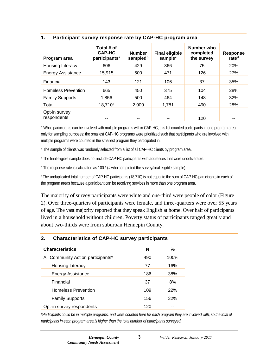#### **Program area Total # of CAP-HC participantsa Number**  sampled<sup>b</sup> **Final eligible**  sample<sup>c</sup> **Number who completed the survey Response rated** Housing Literacy 606 429 366 75 20% Energy Assistance 15,915 500 471 126 27% Financial 143 121 106 37 35% Homeless Prevention 665 450 375 104 28% Family Supports 1,856 500 464 148 32% Total 18,710<sup>e</sup> 2,000 1,781 490 28% Opt-in survey respondents -- - - - - - 120 --

#### <span id="page-6-0"></span>**1. Participant survey response rate by CAP-HC program area**

a While participants can be involved with multiple programs within CAP-HC, this list counted participants in one program area only for sampling purposes; the smallest CAP-HC programs were prioritized such that participants who are involved with multiple programs were counted in the smallest program they participated in.

<sup>b</sup> The sample of clients was randomly selected from a list of all CAP-HC clients by program area.

<sup>c</sup> The final eligible sample does not include CAP-HC participants with addresses that were undeliverable.

 $d$  The response rate is calculated as 100  $*$  (# who completed the survey/final eligible sample).

eThe unduplicated total number of CAP-HC participants (18,710) is not equal to the sum of CAP-HC participants in each of the program areas because a participant can be receiving services in more than one program area.

The majority of survey participants were white and one-third were people of color (Figure 2). Over three-quarters of participants were female, and three-quarters were over 55 years of age. The vast majority reported that they speak English at home. Over half of participants lived in a household without children. Poverty status of participants ranged greatly and about two-thirds were from suburban Hennepin County.

#### <span id="page-6-1"></span>**2. Characteristics of CAP-HC survey participants**

| <b>Characteristics</b>             | N   | %    |
|------------------------------------|-----|------|
| All Community Action participants* | 490 | 100% |
| Housing Literacy                   | 77  | 16%  |
| <b>Energy Assistance</b>           | 186 | 38%  |
| Financial                          | 37  | 8%   |
| <b>Homeless Prevention</b>         | 109 | 22%  |
| <b>Family Supports</b>             | 156 | 32%  |
| Opt-in survey respondents          | 120 |      |

*\*Participants could be in multiple programs, and were counted here for each program they are involved with, so the total of participants in each program area is higher than the total number of participants surveyed.*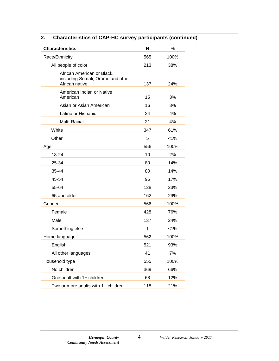| <b>Characteristics</b>                                                            | N   | %       |
|-----------------------------------------------------------------------------------|-----|---------|
| Race/Ethnicity                                                                    | 565 | 100%    |
| All people of color                                                               | 213 | 38%     |
| African American or Black,<br>including Somali, Oromo and other<br>African native | 137 | 24%     |
| American Indian or Native<br>American                                             | 15  | 3%      |
| Asian or Asian American                                                           | 16  | 3%      |
| Latino or Hispanic                                                                | 24  | 4%      |
| Multi-Racial                                                                      | 21  | 4%      |
| White                                                                             | 347 | 61%     |
| Other                                                                             | 5   | $< 1\%$ |
| Age                                                                               | 556 | 100%    |
| 18-24                                                                             | 10  | 2%      |
| 25-34                                                                             | 80  | 14%     |
| 35-44                                                                             | 80  | 14%     |
| 45-54                                                                             | 96  | 17%     |
| 55-64                                                                             | 128 | 23%     |
| 65 and older                                                                      | 162 | 29%     |
| Gender                                                                            | 566 | 100%    |
| Female                                                                            | 428 | 76%     |
| Male                                                                              | 137 | 24%     |
| Something else                                                                    | 1   | $< 1\%$ |
| Home language                                                                     | 562 | 100%    |
| English                                                                           | 521 | 93%     |
| All other languages                                                               | 41  | 7%      |
| Household type                                                                    | 555 | 100%    |
| No children                                                                       | 369 | 66%     |
| One adult with 1+ children                                                        | 68  | 12%     |
| Two or more adults with 1+ children                                               | 118 | 21%     |

### **2. Characteristics of CAP-HC survey participants (continued)**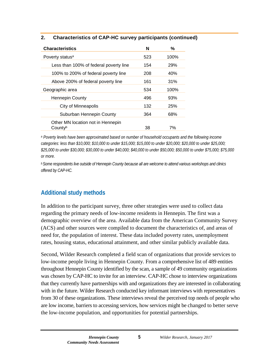| 2. | <b>Characteristics of CAP-HC survey participants (continued)</b> |  |  |
|----|------------------------------------------------------------------|--|--|
|    |                                                                  |  |  |

| <b>Characteristics</b>                       | N   | %    |
|----------------------------------------------|-----|------|
| Poverty status <sup>a</sup>                  | 523 | 100% |
| Less than 100% of federal poverty line       | 154 | 29%  |
| 100% to 200% of federal poverty line         | 208 | 40%  |
| Above 200% of federal poverty line           | 161 | 31%  |
| Geographic area                              | 534 | 100% |
| <b>Hennepin County</b>                       | 496 | 93%  |
| City of Minneapolis                          | 132 | 25%  |
| Suburban Hennepin County                     | 364 | 68%  |
| Other MN location not in Hennepin<br>Countyb | 38  | 7%   |

*<sup>a</sup> Poverty levels have been approximated based on number of household occupants and the following income categories: less than \$10,000; \$10,000 to under \$15,000; \$15,000 to under \$20,000; \$20,000 to under \$25,000; \$25,000 to under \$30,000; \$30,000 to under \$40,000; \$40,000 to under \$50,000; \$50,000 to under \$75,000; \$75,000 or more.*

*b Some respondents live outside of Hennepin County because all are welcome to attend various workshops and clinics offered by CAP-HC.*

## <span id="page-8-0"></span>**Additional study methods**

In addition to the participant survey, three other strategies were used to collect data regarding the primary needs of low-income residents in Hennepin. The first was a demographic overview of the area. Available data from the American Community Survey (ACS) and other sources were compiled to document the characteristics of, and areas of need for, the population of interest. These data included poverty rates, unemployment rates, housing status, educational attainment, and other similar publicly available data.

Second, Wilder Research completed a field scan of organizations that provide services to low-income people living in Hennepin County. From a comprehensive list of 489 entities throughout Hennepin County identified by the scan, a sample of 49 community organizations was chosen by CAP-HC to invite for an interview. CAP-HC chose to interview organizations that they currently have partnerships with and organizations they are interested in collaborating with in the future. Wilder Research conducted key informant interviews with representatives from 30 of these organizations. These interviews reveal the perceived top needs of people who are low income, barriers to accessing services, how services might be changed to better serve the low-income population, and opportunities for potential partnerships.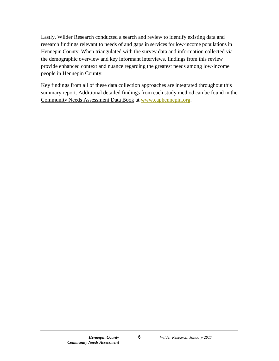Lastly, Wilder Research conducted a search and review to identify existing data and research findings relevant to needs of and gaps in services for low-income populations in Hennepin County. When triangulated with the survey data and information collected via the demographic overview and key informant interviews, findings from this review provide enhanced context and nuance regarding the greatest needs among low-income people in Hennepin County.

Key findings from all of these data collection approaches are integrated throughout this summary report. Additional detailed findings from each study method can be found in the Community Needs Assessment Data Book at [www.caphennepin.org.](http://www.caphennepin.org/)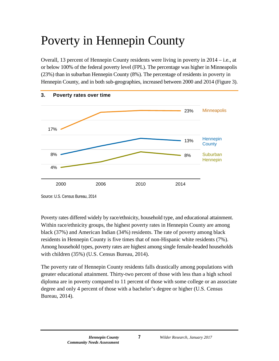## <span id="page-10-0"></span>Poverty in Hennepin County

Overall, 13 percent of Hennepin County residents were living in poverty in 2014 – i.e., at or below 100% of the federal poverty level (FPL). The percentage was higher in Minneapolis (23%) than in suburban Hennepin County (8%). The percentage of residents in poverty in Hennepin County, and in both sub-geographies, increased between 2000 and 2014 (Figure 3).

<span id="page-10-1"></span>

Source: U.S. Census Bureau, 2014

Poverty rates differed widely by race/ethnicity, household type, and educational attainment. Within race/ethnicity groups, the highest poverty rates in Hennepin County are among black (37%) and American Indian (34%) residents. The rate of poverty among black residents in Hennepin County is five times that of non-Hispanic white residents (7%). Among household types, poverty rates are highest among single female-headed households with children (35%) (U.S. Census Bureau, 2014).

The poverty rate of Hennepin County residents falls drastically among populations with greater educational attainment. Thirty-two percent of those with less than a high school diploma are in poverty compared to 11 percent of those with some college or an associate degree and only 4 percent of those with a bachelor's degree or higher (U.S. Census Bureau, 2014).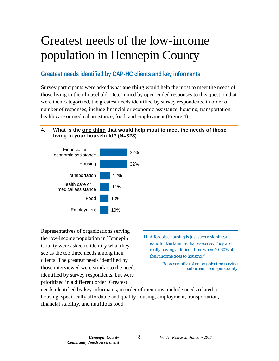## <span id="page-11-0"></span>Greatest needs of the low-income population in Hennepin County

## <span id="page-11-1"></span>**Greatest needs identified by CAP-HC clients and key informants**

Survey participants were asked what **one thing** would help the most to meet the needs of those living in their household. Determined by open-ended responses to this question that were then categorized, the greatest needs identified by survey respondents, in order of number of responses, include financial or economic assistance, housing, transportation, health care or medical assistance, food, and employment (Figure 4).

#### <span id="page-11-2"></span>**4. What is the one thing that would help most to meet the needs of those living in your household? (N=328)**



Representatives of organizations serving the low-income population in Hennepin County were asked to identify what they see as the top three needs among their clients. The greatest needs identified by those interviewed were similar to the needs identified by survey respondents, but were prioritized in a different order. Greatest

 *Affordable housing is just such a significant issue for the families that we serve. They are really having a difficult time when 40-60% of their income goes to housing."*

> – Representative of an organization serving suburban Hennepin County

needs identified by key informants, in order of mentions, include needs related to housing, specifically affordable and quality housing, employment, transportation, financial stability, and nutritious food.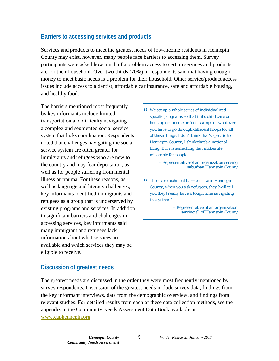## <span id="page-12-0"></span>**Barriers to accessing services and products**

Services and products to meet the greatest needs of low-income residents in Hennepin County may exist, however, many people face barriers to accessing them. Survey participants were asked how much of a problem access to certain services and products are for their household. Over two-thirds (70%) of respondents said that having enough money to meet basic needs is a problem for their household. Other service/product access issues include access to a dentist, affordable car insurance, safe and affordable housing, and healthy food.

The barriers mentioned most frequently by key informants include limited transportation and difficulty navigating a complex and segmented social service system that lacks coordination. Respondents noted that challenges navigating the social service system are often greater for immigrants and refugees who are new to the country and may fear deportation, as well as for people suffering from mental illness or trauma. For these reasons, as well as language and literacy challenges, key informants identified immigrants and refugees as a group that is underserved by existing programs and services. In addition to significant barriers and challenges in accessing services, key informants said many immigrant and refugees lack information about what services are available and which services they may be eligible to receive.

 *We set up a whole series of individualized specific programs so that if it's child care or housing or income or food stamps or whatever, you have to go through different hoops for all of these things. I don't think that's specific to Hennepin County, I think that's a national thing. But it's something that makes life miserable for people."*

> – Representative of an organization serving suburban Hennepin County

 *There are technical barriers like in Hennepin County, when you ask refugees, they [will tell you they] really have a tough time navigating the system."*

> – Representative of an organization serving all of Hennepin County

## <span id="page-12-1"></span>**Discussion of greatest needs**

The greatest needs are discussed in the order they were most frequently mentioned by survey respondents. Discussion of the greatest needs include survey data, findings from the key informant interviews, data from the demographic overview, and findings from relevant studies. For detailed results from each of these data collection methods, see the appendix in the Community Needs Assessment Data Book available at [www.caphennepin.org.](http://www.caphennepin.org/)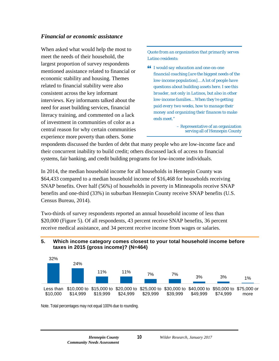### *Financial or economic assistance*

When asked what would help the most to meet the needs of their household, the largest proportion of survey respondents mentioned assistance related to financial or economic stability and housing. Themes related to financial stability were also consistent across the key informant interviews. Key informants talked about the need for asset building services, financial literacy training, and commented on a lack of investment in communities of color as a central reason for why certain communities experience more poverty than others. Some

*Quote from an organization that primarily serves Latino residents:* 

 *I would say education and one-on-one financial coaching [are the biggest needs of the low-income population]… A lot of people have questions about building assets here. I see this broader, not only in Latinos, but also in other low-income families… When they're getting paid every two weeks, how to manage their money and organizing their finances to make ends meet."*

> – Representative of an organization serving all of Hennepin County

respondents discussed the burden of debt that many people who are low-income face and their concurrent inability to build credit; others discussed lack of access to financial systems, fair banking, and credit building programs for low-income individuals.

In 2014, the median household income for all households in Hennepin County was \$64,433 compared to a median household income of \$16,468 for households receiving SNAP benefits. Over half (56%) of households in poverty in Minneapolis receive SNAP benefits and one-third (33%) in suburban Hennepin County receive SNAP benefits (U.S. Census Bureau, 2014).

Two-thirds of survey respondents reported an annual household income of less than \$20,000 (Figure 5). Of all respondents, 43 percent receive SNAP benefits, 36 percent receive medical assistance, and 34 percent receive income from wages or salaries.

#### <span id="page-13-0"></span>**5. Which income category comes closest to your total household income before taxes in 2015 (gross income)? (N=464)**



Note. Total percentages may not equal 100% due to rounding.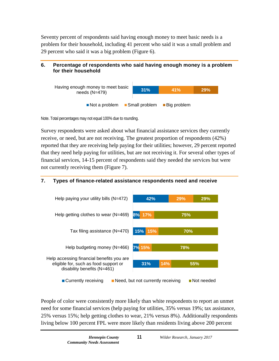Seventy percent of respondents said having enough money to meet basic needs is a problem for their household, including 41 percent who said it was a small problem and 29 percent who said it was a big problem (Figure 6).

### <span id="page-14-0"></span>**6. Percentage of respondents who said having enough money is a problem for their household**



Note. Total percentages may not equal 100% due to rounding.

Survey respondents were asked about what financial assistance services they currently receive, or need, but are not receiving. The greatest proportion of respondents (42%) reported that they are receiving help paying for their utilities; however, 29 percent reported that they need help paying for utilities, but are not receiving it. For several other types of financial services, 14-15 percent of respondents said they needed the services but were not currently receiving them (Figure 7).

### <span id="page-14-1"></span>**7. Types of finance-related assistance respondents need and receive**



People of color were consistently more likely than white respondents to report an unmet need for some financial services (help paying for utilities, 35% versus 19%; tax assistance, 25% versus 15%; help getting clothes to wear, 21% versus 8%). Additionally respondents living below 100 percent FPL were more likely than residents living above 200 percent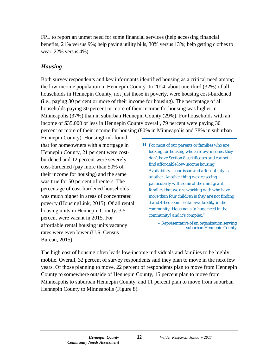FPL to report an unmet need for some financial services (help accessing financial benefits, 21% versus 9%; help paying utility bills, 30% versus 13%; help getting clothes to wear, 22% versus 4%).

#### *Housing*

Both survey respondents and key informants identified housing as a critical need among the low-income population in Hennepin County. In 2014, about one-third (32%) of all households in Hennepin County, not just those in poverty, were housing cost-burdened (i.e., paying 30 percent or more of their income for housing). The percentage of all households paying 30 percent or more of their income for housing was higher in Minneapolis (37%) than in suburban Hennepin County (29%). For households with an income of \$35,000 or less in Hennepin County overall, 79 percent were paying 30 percent or more of their income for housing (80% in Minneapolis and 78% in suburban

Hennepin County). HousingLink found that for homeowners with a mortgage in Hennepin County, 21 percent were costburdened and 12 percent were severely cost-burdened (pay more than 50% of their income for housing) and the same was true for 50 percent of renters. The percentage of cost-burdened households was much higher in areas of concentrated poverty (HousingLink, 2015). Of all rental housing units in Hennepin County, 3.5 percent were vacant in 2015. For affordable rental housing units vacancy rates were even lower (U.S. Census Bureau, 2015).

 *For most of our parents or families who are looking for housing who are low-income, they don't have Section 8 certificates and cannot find affordable low-income housing. Availability is one issue and affordability is another. Another thing we are seeing particularly with some of the immigrant families that we are working with who have more than four children is they are not finding 3 and 4-bedroom rental availability in the community. Housing is [a huge need in the community] and it's complex."*

> – Representative of an organization serving suburban Hennepin County

The high cost of housing often leads low-income individuals and families to be highly mobile. Overall, 32 percent of survey respondents said they plan to move in the next few years. Of those planning to move, 22 percent of respondents plan to move from Hennepin County to somewhere outside of Hennepin County, 15 percent plan to move from Minneapolis to suburban Hennepin County, and 11 percent plan to move from suburban Hennepin County to Minneapolis (Figure 8).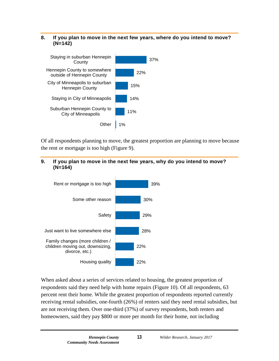#### <span id="page-16-0"></span>**8. If you plan to move in the next few years, where do you intend to move? (N=142)**



Of all respondents planning to move, the greatest proportion are planning to move because the rent or mortgage is too high (Figure 9).

#### <span id="page-16-1"></span>**9. If you plan to move in the next few years, why do you intend to move? (N=164)**



When asked about a series of services related to housing, the greatest proportion of respondents said they need help with home repairs (Figure 10). Of all respondents, 63 percent rent their home. While the greatest proportion of respondents reported currently receiving rental subsidies, one-fourth (26%) of renters said they need rental subsidies, but are not receiving them. Over one-third (37%) of survey respondents, both renters and homeowners, said they pay \$800 or more per month for their home, not including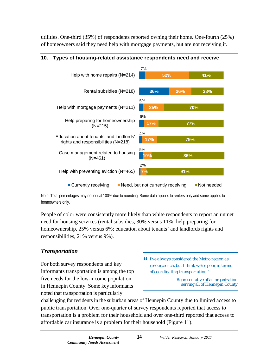utilities. One-third (35%) of respondents reported owning their home. One-fourth (25%) of homeowners said they need help with mortgage payments, but are not receiving it.



#### <span id="page-17-0"></span>**10. Types of housing-related assistance respondents need and receive**

Note. Total percentages may not equal 100% due to rounding. Some data applies to renters only and some applies to homeowners only.

People of color were consistently more likely than white respondents to report an unmet need for housing services (rental subsidies, 30% versus 11%; help preparing for homeownership, 25% versus 6%; education about tenants' and landlords rights and responsibilities, 21% versus 9%).

### *Transportation*

For both survey respondents and key informants transportation is among the top five needs for the low-income population in Hennepin County. Some key informants noted that transportation is particularly

 *I've always considered the Metro region as resource rich, but I think we're poor in terms of coordinating transportation."*

> – Representative of an organization serving all of Hennepin County

challenging for residents in the suburban areas of Hennepin County due to limited access to public transportation. Over one-quarter of survey respondents reported that access to transportation is a problem for their household and over one-third reported that access to affordable car insurance is a problem for their household (Figure 11).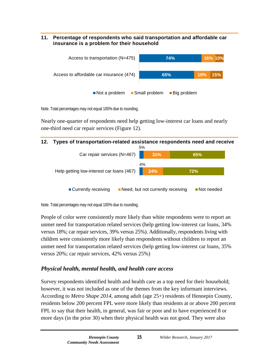#### <span id="page-18-0"></span>**11. Percentage of respondents who said transportation and affordable car insurance is a problem for their household**



Note. Total percentages may not equal 100% due to rounding.

Nearly one-quarter of respondents need help getting low-interest car loans and nearly one-third need car repair services (Figure 12).

<span id="page-18-1"></span>

Note. Total percentages may not equal 100% due to rounding.

People of color were consistently more likely than white respondents were to report an unmet need for transportation related services (help getting low-interest car loans, 34% versus 18%; car repair services, 39% versus 25%). Additionally, respondents living with children were consistently more likely than respondents without children to report an unmet need for transportation related services (help getting low-interest car loans, 35% versus 20%; car repair services, 42% versus 25%)

## *Physical health, mental health, and health care access*

Survey respondents identified health and health care as a top need for their household; however, it was not included as one of the themes from the key informant interviews. According to *Metro Shape 2014*, among adult (age 25+) residents of Hennepin County, residents below 200 percent FPL were more likely than residents at or above 200 percent FPL to say that their health, in general, was fair or poor and to have experienced 8 or more days (in the prior 30) when their physical health was not good. They were also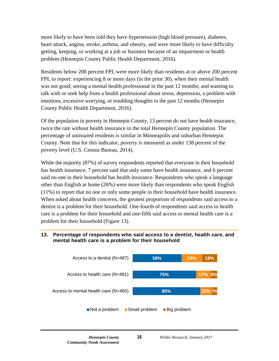more likely to have been told they have hypertension (high blood pressure), diabetes, heart attack, angina, stroke, asthma, and obesity, and were more likely to have difficulty getting, keeping, or working at a job or business because of an impairment or health problem (Hennepin County Public Health Department, 2016).

Residents below 200 percent FPL were more likely than residents at or above 200 percent FPL to report: experiencing 8 or more days (in the prior 30), when their mental health was not good; seeing a mental health professional in the past 12 months; and wanting to talk with or seek help from a health professional about stress, depression, a problem with emotions, excessive worrying, or troubling thoughts in the past 12 months (Hennepin County Public Health Department, 2016).

Of the population in poverty in Hennepin County, 13 percent do not have health insurance, twice the rate without health insurance in the total Hennepin County population. The percentage of uninsured residents is similar in Minneapolis and suburban Hennepin County. Note that for this indicator, poverty is measured as under 138 percent of the poverty level (U.S. Census Bureau, 2014).

While the majority (87%) of survey respondents reported that everyone in their household has health insurance, 7 percent said that only some have health insurance, and 6 percent said no one in their household has health insurance. Respondents who speak a language other than English at home (26%) were more likely than respondents who speak English (11%) to report that no one or only some people in their household have health insurance. When asked about health concerns, the greatest proportion of respondents said access to a dentist is a problem for their household. One-fourth of respondents said access to health care is a problem for their household and one-fifth said access to mental health care is a problem for their household (Figure 13).

#### <span id="page-19-0"></span>**13. Percentage of respondents who said access to a dentist, health care, and mental health care is a problem for their household**

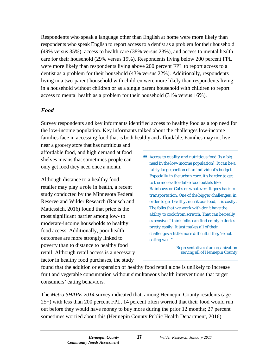Respondents who speak a language other than English at home were more likely than respondents who speak English to report access to a dentist as a problem for their household (49% versus 35%), access to health care (38% versus 23%), and access to mental health care for their household (29% versus 19%). Respondents living below 200 percent FPL were more likely than respondents living above 200 percent FPL to report access to a dentist as a problem for their household (43% versus 22%). Additionally, respondents living in a two-parent household with children were more likely than respondents living in a household without children or as a single parent household with children to report access to mental health as a problem for their household (31% versus 16%).

#### *Food*

Survey respondents and key informants identified access to healthy food as a top need for the low-income population. Key informants talked about the challenges low-income families face in accessing food that is both healthy and affordable. Families may not live

near a grocery store that has nutritious and affordable food, and high demand at food shelves means that sometimes people can only get food they need once a month.

Although distance to a healthy food retailer may play a role in health, a recent study conducted by the Minnesota Federal Reserve and Wilder Research (Rausch and Mattessich, 2016) found that price is the most significant barrier among low- to moderate-income households to healthy food access. Additionally, poor health outcomes are more strongly linked to poverty than to distance to healthy food retail. Although retail access is a necessary factor in healthy food purchases, the study

 *Access to quality and nutritious food [is a big need in the low-income population]. It can be a fairly large portion of an individual's budget. Especially in the urban core, it's harder to get to the more affordable food outlets like Rainbows or Cubs or whatever. It goes back to transportation. One of the bigger challenges, in order to get healthy, nutritious food, it is costly. The folks that we work with don't have the ability to cook from scratch. That can be really expensive. I think folks can find empty calories pretty easily. It just makes all of their challenges a little more difficult if they're not eating well."*

> – Representative of an organization serving all of Hennepin County

found that the addition or expansion of healthy food retail alone is unlikely to increase fruit and vegetable consumption without simultaneous health interventions that target consumers' eating behaviors.

The *Metro SHAPE 2014* survey indicated that, among Hennepin County residents (age 25+) with less than 200 percent FPL, 14 percent often worried that their food would run out before they would have money to buy more during the prior 12 months; 27 percent sometimes worried about this (Hennepin County Public Health Department, 2016).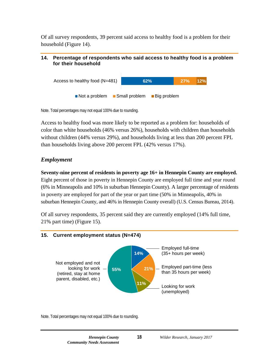Of all survey respondents, 39 percent said access to healthy food is a problem for their household (Figure 14).

#### <span id="page-21-0"></span>**14. Percentage of respondents who said access to healthy food is a problem for their household**



Note. Total percentages may not equal 100% due to rounding.

Access to healthy food was more likely to be reported as a problem for: households of color than white households (46% versus 26%), households with children than households without children (44% versus 29%), and households living at less than 200 percent FPL than households living above 200 percent FPL (42% versus 17%).

### *Employment*

**Seventy-nine percent of residents in poverty age 16+ in Hennepin County are employed.**  Eight percent of those in poverty in Hennepin County are employed full time and year round (6% in Minneapolis and 10% in suburban Hennepin County). A larger percentage of residents in poverty are employed for part of the year or part time (50% in Minneapolis, 40% in suburban Hennepin County, and 46% in Hennepin County overall) (U.S. Census Bureau, 2014).

Of all survey respondents, 35 percent said they are currently employed (14% full time, 21% part time) (Figure 15).

### <span id="page-21-1"></span>**15. Current employment status (N=474)**



Note. Total percentages may not equal 100% due to rounding.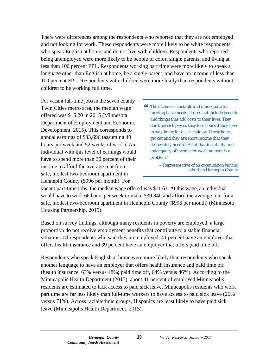There were differences among the respondents who reported that they are not employed and not looking for work. These respondents were more likely to be white respondents, who speak English at home, and do not live with children. Respondents who reported being unemployed were more likely to be people of color, single parents, and living at less than 100 percent FPL. Respondents working part time were more likely to speak a language other than English at home, be a single parent, and have an income of less than 100 percent FPL. Respondents with children were more likely than respondents without children to be working full time.

For vacant full-time jobs in the seven county Twin Cities metro area, the median wage offered was \$16.20 in 2015 (Minnesota Department of Employment and Economic Development, 2015). This corresponds to annual earnings of \$33,696 (assuming 40 hours per week and 52 weeks of work). An individual with this level of earnings would have to spend more than 30 percent of their income to afford the average rent for a safe, modest two-bedroom apartment in Hennepin County (\$996 per month). For

 *The income is unstable and inadequate for meeting basic needs. It does not include benefits and things that add costs to their lives. They don't get sick pay so they lose hours if they have to stay home for a sick child or if their hours get cut and they are short income that they desperately needed. All of that instability and inadequacy of income for working poor is a problem."*

> – Representative of an organization serving suburban Hennepin County

vacant part-time jobs, the median wage offered was \$11.61. At this wage, an individual would have to work 66 hours per week to make \$39,840 and afford the average rent for a safe, modest two-bedroom apartment in Hennepin County (\$996 per month) (Minnesota Housing Partnership, 2015).

Based on survey findings, although many residents in poverty are employed, a large proportion do not receive employment benefits that contribute to a stable financial situation. Of respondents who said they are employed, 41 percent have an employer that offers health insurance and 39 percent have an employer that offers paid time off.

Respondents who speak English at home were more likely than respondents who speak another language to have an employer that offers health insurance and paid time off (health insurance, 63% versus 48%; paid time off, 64% versus 46%). According to the Minneapolis Health Department (2015), about 41 percent of employed Minneapolis residents are estimated to lack access to paid sick leave. Minneapolis residents who work part time are far less likely than full-time workers to have access to paid sick leave (26% versus 71%). Across racial/ethnic groups, Hispanics are least likely to have paid sick leave (Minneapolis Health Department, 2015).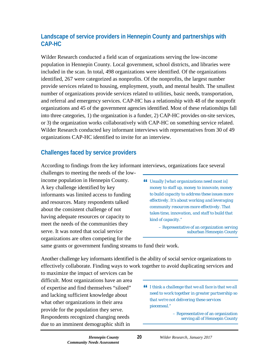## <span id="page-23-0"></span>**Landscape of service providers in Hennepin County and partnerships with CAP-HC**

Wilder Research conducted a field scan of organizations serving the low-income population in Hennepin County. Local government, school districts, and libraries were included in the scan. In total, 498 organizations were identified. Of the organizations identified, 267 were categorized as nonprofits. Of the nonprofits, the largest number provide services related to housing, employment, youth, and mental health. The smallest number of organizations provide services related to utilities, basic needs, transportation, and referral and emergency services. CAP-HC has a relationship with 48 of the nonprofit organizations and 45 of the government agencies identified. Most of these relationships fall into three categories, 1) the organization is a funder, 2) CAP-HC provides on-site services, or 3) the organization works collaboratively with CAP-HC on something service related. Wilder Research conducted key informant interviews with representatives from 30 of 49 organizations CAP-HC identified to invite for an interview.

## <span id="page-23-1"></span>**Challenges faced by service providers**

According to findings from the key informant interviews, organizations face several

challenges to meeting the needs of the lowincome population in Hennepin County. A key challenge identified by key informants was limited access to funding and resources. Many respondents talked about the consistent challenge of not having adequate resources or capacity to meet the needs of the communities they serve. It was noted that social service organizations are often competing for the

 *Usually [what organizations need most is] money to staff up, money to innovate, money to build capacity to address these issues more effectively. It's about working and leveraging community resources more effectively. That takes time, innovation, and staff to build that kind of capacity."*

> – Representative of an organization serving suburban Hennepin County

same grants or government funding streams to fund their work.

Another challenge key informants identified is the ability of social service organizations to effectively collaborate. Finding ways to work together to avoid duplicating services and

to maximize the impact of services can be difficult. Most organizations have an area of expertise and find themselves "siloed" and lacking sufficient knowledge about what other organizations in their area provide for the population they serve. Respondents recognized changing needs due to an imminent demographic shift in

 *I think a challenge that we all face is that we all need to work together in greater partnership so that we're not delivering these services piecemeal."*

> – Representative of an organization serving all of Hennepin County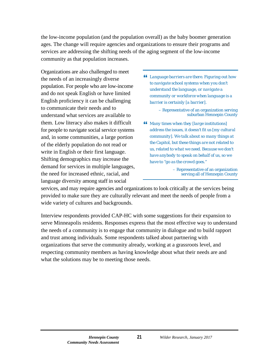the low-income population (and the population overall) as the baby boomer generation ages. The change will require agencies and organizations to ensure their programs and services are addressing the shifting needs of the aging segment of the low-income community as that population increases.

Organizations are also challenged to meet the needs of an increasingly diverse population. For people who are low-income and do not speak English or have limited English proficiency it can be challenging to communicate their needs and to understand what services are available to them. Low literacy also makes it difficult for people to navigate social service systems and, in some communities, a large portion of the elderly population do not read or write in English or their first language. Shifting demographics may increase the demand for services in multiple languages, the need for increased ethnic, racial, and language diversity among staff in social

- *Language barriers are there. Figuring out how to navigate school systems when you don't understand the language, or navigate a community or workforce when language is a barrier is certainly [a barrier].* 
	- Representative of an organization serving suburban Hennepin County
- *Many times when they [large institutions] address the issues, it doesn't fit us [my cultural community]. We talk about so many things at the Capitol, but these things are not related to us, related to what we need. Because we don't have anybody to speak on behalf of us, so we have to "go as the crowd goes."*

– Representative of an organization serving all of Hennepin County

services, and may require agencies and organizations to look critically at the services being provided to make sure they are culturally relevant and meet the needs of people from a wide variety of cultures and backgrounds.

Interview respondents provided CAP-HC with some suggestions for their expansion to serve Minneapolis residents. Responses express that the most effective way to understand the needs of a community is to engage that community in dialogue and to build rapport and trust among individuals. Some respondents talked about partnering with organizations that serve the community already, working at a grassroots level, and respecting community members as having knowledge about what their needs are and what the solutions may be to meeting those needs.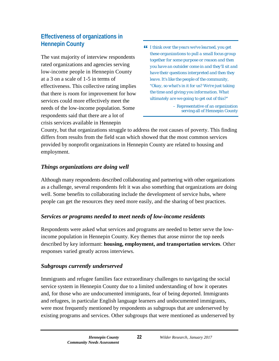## <span id="page-25-0"></span>**Effectiveness of organizations in Hennepin County**

The vast majority of interview respondents rated organizations and agencies serving low-income people in Hennepin County at a 3 on a scale of 1-5 in terms of effectiveness. This collective rating implies that there is room for improvement for how services could more effectively meet the needs of the low-income population. Some respondents said that there are a lot of crisis services available in Hennepin

 *I think over the years we've learned, you get these organizations to pull a small focus group together for some purpose or reason and then you have an outsider come in and they'll sit and have their questions interpreted and then they leave. It's like the people of the community, "Okay, so what's in it for us? We're just taking the time and giving you information. What ultimately are we going to get out of this?"*

> – Representative of an organization serving all of Hennepin County

County, but that organizations struggle to address the root causes of poverty. This finding differs from results from the field scan which showed that the most common services provided by nonprofit organizations in Hennepin County are related to housing and employment.

## *Things organizations are doing well*

Although many respondents described collaborating and partnering with other organizations as a challenge, several respondents felt it was also something that organizations are doing well. Some benefits to collaborating include the development of service hubs, where people can get the resources they need more easily, and the sharing of best practices.

## *Services or programs needed to meet needs of low-income residents*

Respondents were asked what services and programs are needed to better serve the lowincome population in Hennepin County. Key themes that arose mirror the top needs described by key informant: **housing, employment, and transportation services**. Other responses varied greatly across interviews.

## *Subgroups currently underserved*

Immigrants and refugee families face extraordinary challenges to navigating the social service system in Hennepin County due to a limited understanding of how it operates and, for those who are undocumented immigrants, fear of being deported. Immigrants and refugees, in particular English language learners and undocumented immigrants, were most frequently mentioned by respondents as subgroups that are underserved by existing programs and services. Other subgroups that were mentioned as underserved by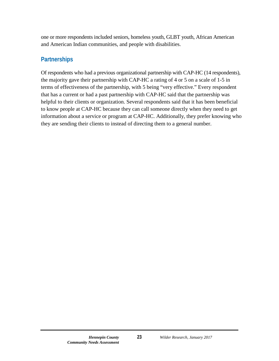one or more respondents included seniors, homeless youth, GLBT youth, African American and American Indian communities, and people with disabilities.

### <span id="page-26-0"></span>**Partnerships**

<span id="page-26-1"></span>Of respondents who had a previous organizational partnership with CAP-HC (14 respondents), the majority gave their partnership with CAP-HC a rating of 4 or 5 on a scale of 1-5 in terms of effectiveness of the partnership, with 5 being "very effective." Every respondent that has a current or had a past partnership with CAP-HC said that the partnership was helpful to their clients or organization. Several respondents said that it has been beneficial to know people at CAP-HC because they can call someone directly when they need to get information about a service or program at CAP-HC. Additionally, they prefer knowing who they are sending their clients to instead of directing them to a general number.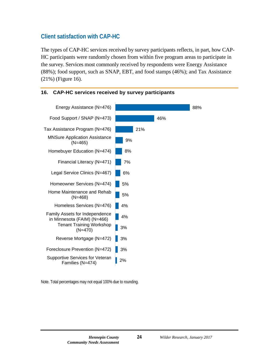## **Client satisfaction with CAP-HC**

The types of CAP-HC services received by survey participants reflects, in part, how CAP-HC participants were randomly chosen from within five program areas to participate in the survey. Services most commonly received by respondents were Energy Assistance (88%); food support, such as SNAP, EBT, and food stamps (46%); and Tax Assistance (21%) (Figure 16).



#### <span id="page-27-0"></span>**16. CAP-HC services received by survey participants**

Note. Total percentages may not equal 100% due to rounding.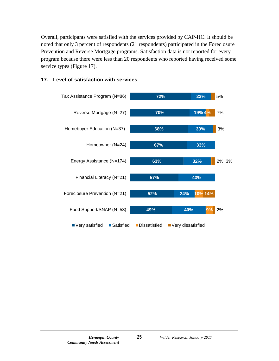Overall, participants were satisfied with the services provided by CAP-HC. It should be noted that only 3 percent of respondents (21 respondents) participated in the Foreclosure Prevention and Reverse Mortgage programs. Satisfaction data is not reported for every program because there were less than 20 respondents who reported having received some service types (Figure 17).



#### <span id="page-28-0"></span>**17. Level of satisfaction with services**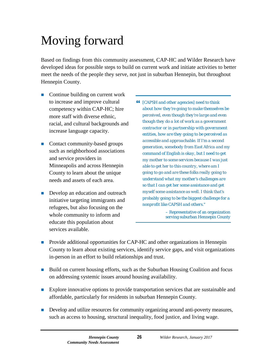## <span id="page-29-0"></span>Moving forward

Based on findings from this community assessment, CAP-HC and Wilder Research have developed ideas for possible steps to build on current work and initiate activities to better meet the needs of the people they serve, not just in suburban Hennepin, but throughout Hennepin County.

- Continue building on current work to increase and improve cultural competency within CAP-HC; hire more staff with diverse ethnic, racial, and cultural backgrounds and increase language capacity.
- Contact community-based groups such as neighborhood associations and service providers in Minneapolis and across Hennepin County to learn about the unique needs and assets of each area.
- Develop an education and outreach initiative targeting immigrants and refugees, but also focusing on the whole community to inform and educate this population about services available.
- *[CAPSH and other agencies] need to think about how they're going to make themselves be perceived, even though they're large and even though they do a lot of work as a government contractor or in partnership with government entities, how are they going to be perceived as accessible and approachable. If I'm a second generation, somebody from East Africa and my command of English is okay, but I need to get my mother to some services because I was just able to get her to this country, where am I going to go and are these folks really going to understand what my mother's challenges are so that I can get her some assistance and get myself some assistance as well. I think that's probably going to be the biggest challenge for a nonprofit like CAPSH and others."*

– Representative of an organization serving suburban Hennepin County

- **Provide additional opportunities for CAP-HC and other organizations in Hennepin** County to learn about existing services, identify service gaps, and visit organizations in-person in an effort to build relationships and trust.
- Build on current housing efforts, such as the Suburban Housing Coalition and focus on addressing systemic issues around housing availability.
- **Explore innovative options to provide transportation services that are sustainable and** affordable, particularly for residents in suburban Hennepin County.
- Develop and utilize resources for community organizing around anti-poverty measures, such as access to housing, structural inequality, food justice, and living wage.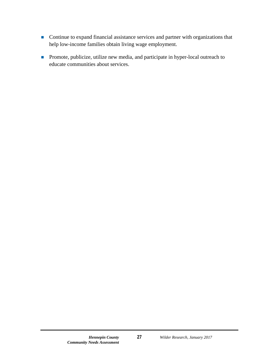- Continue to expand financial assistance services and partner with organizations that help low-income families obtain living wage employment.
- **Promote, publicize, utilize new media, and participate in hyper-local outreach to** educate communities about services.